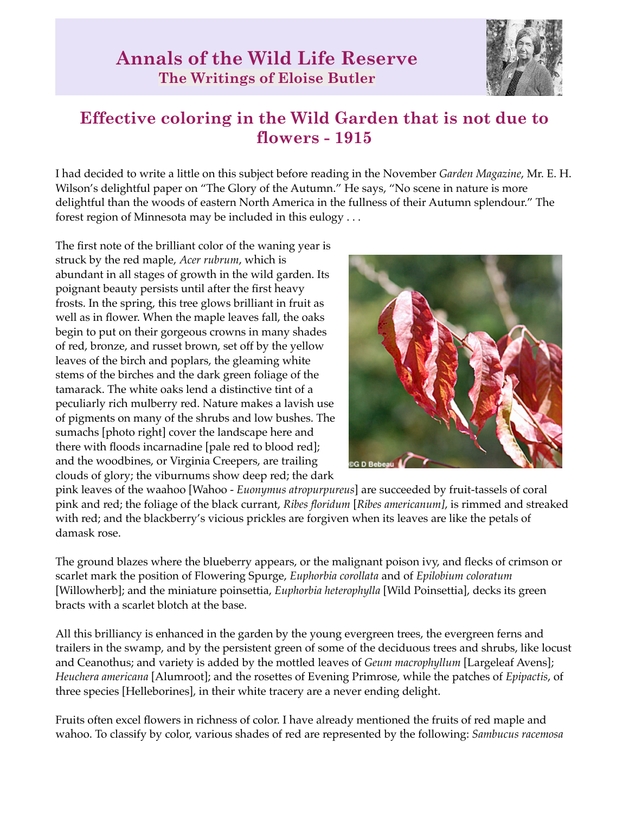

## **Effective coloring in the Wild Garden that is not due to flowers - 1915**

I had decided to write a little on this subject before reading in the November *Garden Magazine*, Mr. E. H. Wilson's delightful paper on "The Glory of the Autumn." He says, "No scene in nature is more delightful than the woods of eastern North America in the fullness of their Autumn splendour." The forest region of Minnesota may be included in this eulogy . . .

The first note of the brilliant color of the waning year is struck by the red maple, *Acer rubrum*, which is abundant in all stages of growth in the wild garden. Its poignant beauty persists until after the first heavy frosts. In the spring, this tree glows brilliant in fruit as well as in flower. When the maple leaves fall, the oaks begin to put on their gorgeous crowns in many shades of red, bronze, and russet brown, set off by the yellow leaves of the birch and poplars, the gleaming white stems of the birches and the dark green foliage of the tamarack. The white oaks lend a distinctive tint of a peculiarly rich mulberry red. Nature makes a lavish use of pigments on many of the shrubs and low bushes. The sumachs [photo right] cover the landscape here and there with floods incarnadine [pale red to blood red]; and the woodbines, or Virginia Creepers, are trailing clouds of glory; the viburnums show deep red; the dark



pink leaves of the waahoo [Wahoo - *Euonymus atropurpureus*] are succeeded by fruit-tassels of coral pink and red; the foliage of the black currant, *Ribes floridum* [*Ribes americanum]*, is rimmed and streaked with red; and the blackberry's vicious prickles are forgiven when its leaves are like the petals of damask rose.

The ground blazes where the blueberry appears, or the malignant poison ivy, and flecks of crimson or scarlet mark the position of Flowering Spurge, *Euphorbia corollata* and of *Epilobium coloratum* [Willowherb]; and the miniature poinsettia, *Euphorbia heterophylla* [Wild Poinsettia], decks its green bracts with a scarlet blotch at the base.

All this brilliancy is enhanced in the garden by the young evergreen trees, the evergreen ferns and trailers in the swamp, and by the persistent green of some of the deciduous trees and shrubs, like locust and Ceanothus; and variety is added by the mottled leaves of *Geum macrophyllum* [Largeleaf Avens]; *Heuchera americana* [Alumroot]; and the rosettes of Evening Primrose, while the patches of *Epipactis*, of three species [Helleborines], in their white tracery are a never ending delight.

Fruits often excel flowers in richness of color. I have already mentioned the fruits of red maple and wahoo. To classify by color, various shades of red are represented by the following: *Sambucus racemosa*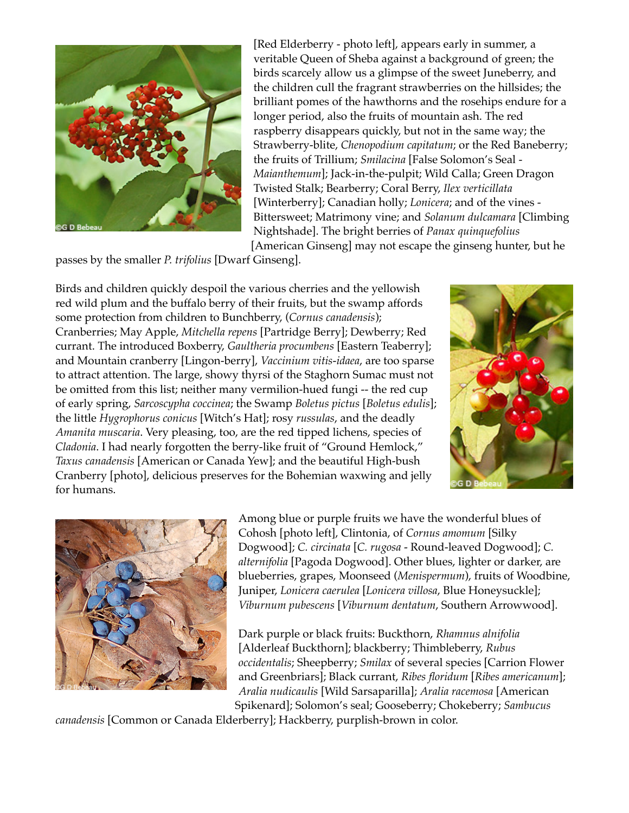

[Red Elderberry - photo left], appears early in summer, a veritable Queen of Sheba against a background of green; the birds scarcely allow us a glimpse of the sweet Juneberry, and the children cull the fragrant strawberries on the hillsides; the brilliant pomes of the hawthorns and the rosehips endure for a longer period, also the fruits of mountain ash. The red raspberry disappears quickly, but not in the same way; the Strawberry-blite, *Chenopodium capitatum*; or the Red Baneberry; the fruits of Trillium; *Smilacina* [False Solomon's Seal - *Maianthemum*]; Jack-in-the-pulpit; Wild Calla; Green Dragon Twisted Stalk; Bearberry; Coral Berry, *Ilex verticillata* [Winterberry]; Canadian holly; *Lonicera*; and of the vines - Bittersweet; Matrimony vine; and *Solanum dulcamara* [Climbing Nightshade]. The bright berries of *Panax quinquefolius* [American Ginseng] may not escape the ginseng hunter, but he

passes by the smaller *P. trifolius* [Dwarf Ginseng].

Birds and children quickly despoil the various cherries and the yellowish red wild plum and the buffalo berry of their fruits, but the swamp affords some protection from children to Bunchberry, (*Cornus canadensis*); Cranberries; May Apple, *Mitchella repens* [Partridge Berry]; Dewberry; Red currant. The introduced Boxberry, *Gaultheria procumbens* [Eastern Teaberry]; and Mountain cranberry [Lingon-berry], *Vaccinium vitis-idaea*, are too sparse to attract attention. The large, showy thyrsi of the Staghorn Sumac must not be omitted from this list; neither many vermilion-hued fungi -- the red cup of early spring, *Sarcoscypha coccinea*; the Swamp *Boletus pictus* [*Boletus edulis*]; the little *Hygrophorus conicus* [Witch's Hat]; rosy *russulas*, and the deadly *Amanita muscaria*. Very pleasing, too, are the red tipped lichens, species of *Cladonia*. I had nearly forgotten the berry-like fruit of "Ground Hemlock," *Taxus canadensis* [American or Canada Yew]; and the beautiful High-bush Cranberry [photo], delicious preserves for the Bohemian waxwing and jelly for humans.





Among blue or purple fruits we have the wonderful blues of Cohosh [photo left], Clintonia, of *Cornus amomum* [Silky Dogwood]; *C. circinata* [*C. rugosa* - Round-leaved Dogwood]; *C. alternifolia* [Pagoda Dogwood]. Other blues, lighter or darker, are blueberries, grapes, Moonseed (*Menispermum*), fruits of Woodbine, Juniper, *Lonicera caerulea* [*Lonicera villosa*, Blue Honeysuckle]; *Viburnum pubescens* [*Viburnum dentatum*, Southern Arrowwood].

Dark purple or black fruits: Buckthorn, *Rhamnus alnifolia* [Alderleaf Buckthorn]; blackberry; Thimbleberry, *Rubus occidentalis*; Sheepberry; *Smilax* of several species [Carrion Flower and Greenbriars]; Black currant, *Ribes floridum* [*Ribes americanum*]; *Aralia nudicaulis* [Wild Sarsaparilla]; *Aralia racemosa* [American Spikenard]; Solomon's seal; Gooseberry; Chokeberry; *Sambucus* 

*canadensis* [Common or Canada Elderberry]; Hackberry, purplish-brown in color.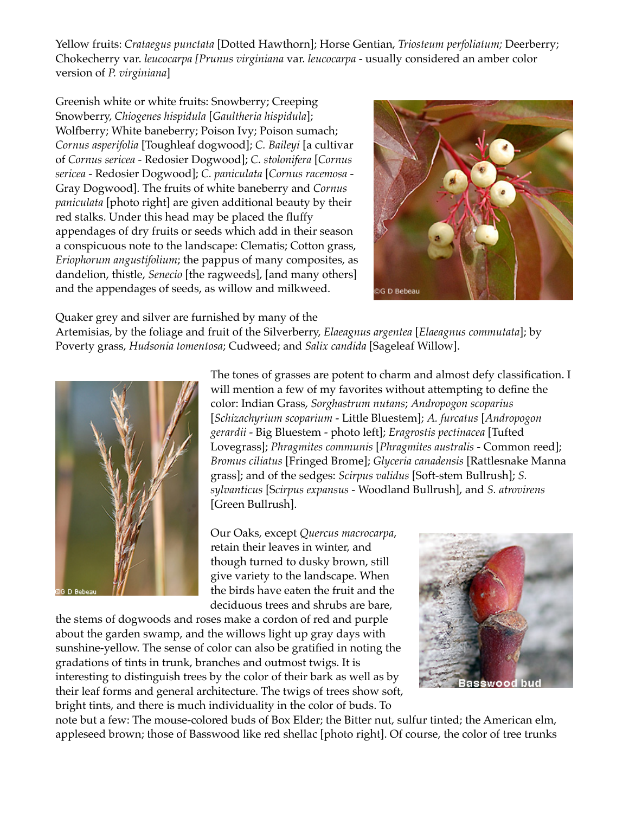Yellow fruits: *Crataegus punctata* [Dotted Hawthorn]; Horse Gentian, *Triosteum perfoliatum;* Deerberry; Chokecherry var. *leucocarpa [Prunus virginiana* var. *leucocarpa* - usually considered an amber color version of *P. virginiana*]

Greenish white or white fruits: Snowberry; Creeping Snowberry, *Chiogenes hispidula* [*Gaultheria hispidula*]; Wolfberry; White baneberry; Poison Ivy; Poison sumach; *Cornus asperifolia* [Toughleaf dogwood]; *C. Baileyi* [a cultivar of *Cornus sericea* - Redosier Dogwood]; *C. stolonifera* [*Cornus sericea* - Redosier Dogwood]; *C. paniculata* [*Cornus racemosa* - Gray Dogwood]. The fruits of white baneberry and *Cornus paniculata* [photo right] are given additional beauty by their red stalks. Under this head may be placed the fluffy appendages of dry fruits or seeds which add in their season a conspicuous note to the landscape: Clematis; Cotton grass, *Eriophorum angustifolium*; the pappus of many composites, as dandelion, thistle, *Senecio* [the ragweeds], [and many others] and the appendages of seeds, as willow and milkweed.



Quaker grey and silver are furnished by many of the

Artemisias, by the foliage and fruit of the Silverberry, *Elaeagnus argentea* [*Elaeagnus commutata*]; by Poverty grass, *Hudsonia tomentosa*; Cudweed; and *Salix candida* [Sageleaf Willow].



The tones of grasses are potent to charm and almost defy classification. I will mention a few of my favorites without attempting to define the color: Indian Grass, *Sorghastrum nutans*; *Andropogon scoparius* [*Schizachyrium scoparium* - Little Bluestem]; *A. furcatus* [*Andropogon gerardii* - Big Bluestem - photo left]; *Eragrostis pectinacea* [Tufted Lovegrass]; *Phragmites communis* [*Phragmites australis* - Common reed]; *Bromus ciliatus* [Fringed Brome]; *Glyceria canadensis* [Rattlesnake Manna grass]; and of the sedges: *Scirpus validus* [Soft-stem Bullrush]; *S. sylvanticus* [S*cirpus expansus* - Woodland Bullrush], and *S. atrovirens* [Green Bullrush].

Our Oaks, except *Quercus macrocarpa*, retain their leaves in winter, and though turned to dusky brown, still give variety to the landscape. When the birds have eaten the fruit and the deciduous trees and shrubs are bare,

the stems of dogwoods and roses make a cordon of red and purple about the garden swamp, and the willows light up gray days with sunshine-yellow. The sense of color can also be gratified in noting the gradations of tints in trunk, branches and outmost twigs. It is interesting to distinguish trees by the color of their bark as well as by their leaf forms and general architecture. The twigs of trees show soft, bright tints, and there is much individuality in the color of buds. To



note but a few: The mouse-colored buds of Box Elder; the Bitter nut, sulfur tinted; the American elm, appleseed brown; those of Basswood like red shellac [photo right]. Of course, the color of tree trunks